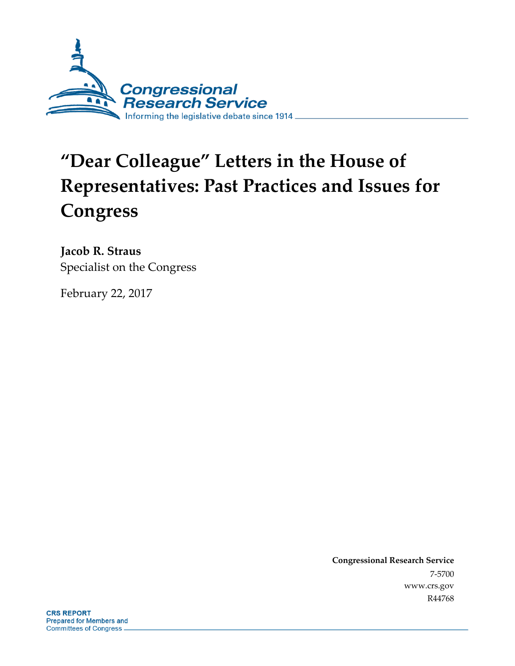

# **"Dear Colleague" Letters in the House of Representatives: Past Practices and Issues for Congress**

**Jacob R. Straus** Specialist on the Congress

February 22, 2017

**Congressional Research Service** 7-5700 www.crs.gov R44768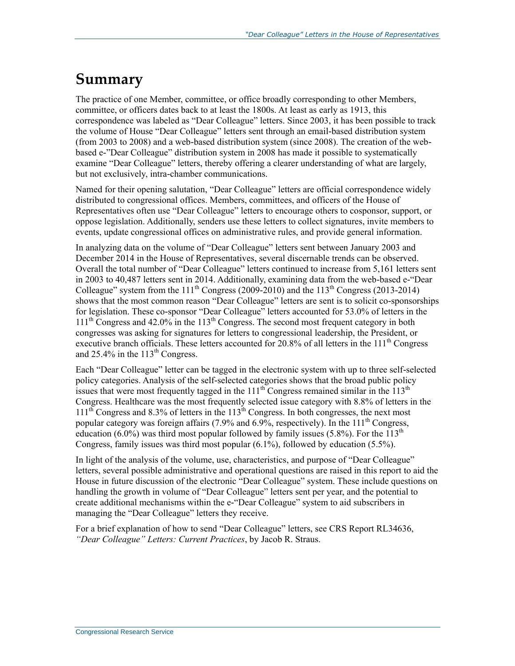## **Summary**

The practice of one Member, committee, or office broadly corresponding to other Members, committee, or officers dates back to at least the 1800s. At least as early as 1913, this correspondence was labeled as "Dear Colleague" letters. Since 2003, it has been possible to track the volume of House "Dear Colleague" letters sent through an email-based distribution system (from 2003 to 2008) and a web-based distribution system (since 2008). The creation of the webbased e-"Dear Colleague" distribution system in 2008 has made it possible to systematically examine "Dear Colleague" letters, thereby offering a clearer understanding of what are largely, but not exclusively, intra-chamber communications.

Named for their opening salutation, "Dear Colleague" letters are official correspondence widely distributed to congressional offices. Members, committees, and officers of the House of Representatives often use "Dear Colleague" letters to encourage others to cosponsor, support, or oppose legislation. Additionally, senders use these letters to collect signatures, invite members to events, update congressional offices on administrative rules, and provide general information.

In analyzing data on the volume of "Dear Colleague" letters sent between January 2003 and December 2014 in the House of Representatives, several discernable trends can be observed. Overall the total number of "Dear Colleague" letters continued to increase from 5,161 letters sent in 2003 to 40,487 letters sent in 2014. Additionally, examining data from the web-based e-"Dear Colleague" system from the  $111<sup>th</sup>$  Congress (2009-2010) and the  $113<sup>th</sup>$  Congress (2013-2014) shows that the most common reason "Dear Colleague" letters are sent is to solicit co-sponsorships for legislation. These co-sponsor "Dear Colleague" letters accounted for 53.0% of letters in the  $111<sup>th</sup>$  Congress and 42.0% in the 113<sup>th</sup> Congress. The second most frequent category in both congresses was asking for signatures for letters to congressional leadership, the President, or executive branch officials. These letters accounted for 20.8% of all letters in the  $111<sup>th</sup>$  Congress and  $25.4\%$  in the  $113<sup>th</sup>$  Congress.

Each "Dear Colleague" letter can be tagged in the electronic system with up to three self-selected policy categories. Analysis of the self-selected categories shows that the broad public policy issues that were most frequently tagged in the  $111<sup>th</sup>$  Congress remained similar in the  $113<sup>th</sup>$ Congress. Healthcare was the most frequently selected issue category with 8.8% of letters in the  $111<sup>th</sup>$  Congress and 8.3% of letters in the  $113<sup>th</sup>$  Congress. In both congresses, the next most popular category was foreign affairs  $(7.9\%$  and  $6.9\%$ , respectively). In the  $111<sup>th</sup>$  Congress, education (6.0%) was third most popular followed by family issues (5.8%). For the  $113<sup>th</sup>$ Congress, family issues was third most popular (6.1%), followed by education (5.5%).

In light of the analysis of the volume, use, characteristics, and purpose of "Dear Colleague" letters, several possible administrative and operational questions are raised in this report to aid the House in future discussion of the electronic "Dear Colleague" system. These include questions on handling the growth in volume of "Dear Colleague" letters sent per year, and the potential to create additional mechanisms within the e-"Dear Colleague" system to aid subscribers in managing the "Dear Colleague" letters they receive.

For a brief explanation of how to send "Dear Colleague" letters, see CRS Report RL34636, *"Dear Colleague" Letters: Current Practices*, by Jacob R. Straus.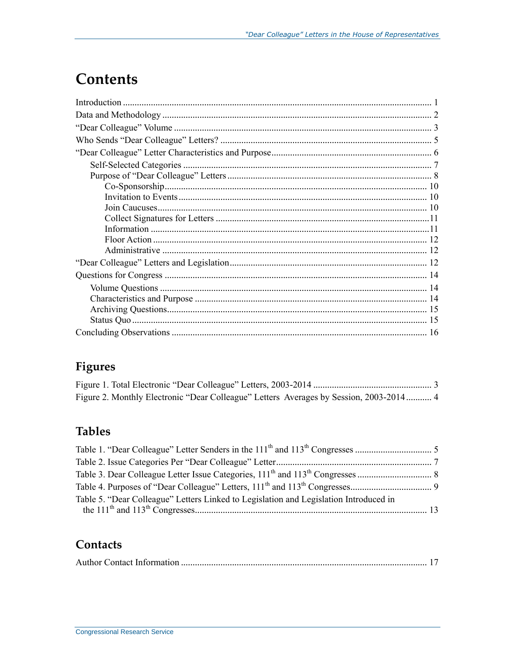## **Contents**

### Figures

| Figure 2. Monthly Electronic "Dear Colleague" Letters Averages by Session, 2003-2014 4 |  |
|----------------------------------------------------------------------------------------|--|

### **Tables**

| Table 5. "Dear Colleague" Letters Linked to Legislation and Legislation Introduced in |  |
|---------------------------------------------------------------------------------------|--|

### Contacts

|--|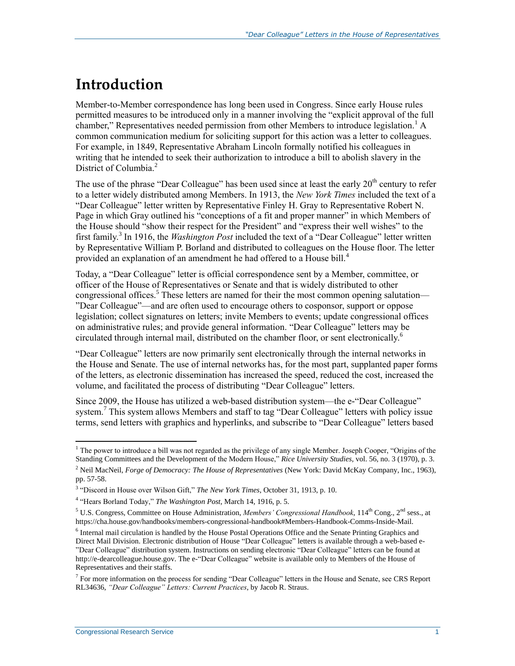## **Introduction**

Member-to-Member correspondence has long been used in Congress. Since early House rules permitted measures to be introduced only in a manner involving the "explicit approval of the full chamber," Representatives needed permission from other Members to introduce legislation.<sup>1</sup> A common communication medium for soliciting support for this action was a letter to colleagues. For example, in 1849, Representative Abraham Lincoln formally notified his colleagues in writing that he intended to seek their authorization to introduce a bill to abolish slavery in the District of Columbia.<sup>2</sup>

The use of the phrase "Dear Colleague" has been used since at least the early  $20<sup>th</sup>$  century to refer to a letter widely distributed among Members. In 1913, the *New York Times* included the text of a "Dear Colleague" letter written by Representative Finley H. Gray to Representative Robert N. Page in which Gray outlined his "conceptions of a fit and proper manner" in which Members of the House should "show their respect for the President" and "express their well wishes" to the first family.<sup>3</sup> In 1916, the *Washington Post* included the text of a "Dear Colleague" letter written by Representative William P. Borland and distributed to colleagues on the House floor. The letter provided an explanation of an amendment he had offered to a House bill.<sup>4</sup>

Today, a "Dear Colleague" letter is official correspondence sent by a Member, committee, or officer of the House of Representatives or Senate and that is widely distributed to other congressional offices.<sup>5</sup> These letters are named for their the most common opening salutation— "Dear Colleague"—and are often used to encourage others to cosponsor, support or oppose legislation; collect signatures on letters; invite Members to events; update congressional offices on administrative rules; and provide general information. "Dear Colleague" letters may be circulated through internal mail, distributed on the chamber floor, or sent electronically.<sup>6</sup>

"Dear Colleague" letters are now primarily sent electronically through the internal networks in the House and Senate. The use of internal networks has, for the most part, supplanted paper forms of the letters, as electronic dissemination has increased the speed, reduced the cost, increased the volume, and facilitated the process of distributing "Dear Colleague" letters.

Since 2009, the House has utilized a web-based distribution system—the e-"Dear Colleague" system.<sup>7</sup> This system allows Members and staff to tag "Dear Colleague" letters with policy issue terms, send letters with graphics and hyperlinks, and subscribe to "Dear Colleague" letters based

<sup>&</sup>lt;sup>1</sup> The power to introduce a bill was not regarded as the privilege of any single Member. Joseph Cooper, "Origins of the Standing Committees and the Development of the Modern House," *Rice University Studies*, vol. 56, no. 3 (1970), p. 3.

<sup>2</sup> Neil MacNeil, *Forge of Democracy: The House of Representatives* (New York: David McKay Company, Inc., 1963), pp. 57-58.

<sup>3</sup> "Discord in House over Wilson Gift," *The New York Times*, October 31, 1913, p. 10.

<sup>4</sup> "Hears Borland Today," *The Washington Post*, March 14, 1916, p. 5.

<sup>&</sup>lt;sup>5</sup> U.S. Congress, Committee on House Administration, *Members' Congressional Handbook*,  $114^{\text{th}}$  Cong.,  $2^{\text{nd}}$  sess., at https://cha.house.gov/handbooks/members-congressional-handbook#Members-Handbook-Comms-Inside-Mail.

<sup>&</sup>lt;sup>6</sup> Internal mail circulation is handled by the House Postal Operations Office and the Senate Printing Graphics and Direct Mail Division. Electronic distribution of House "Dear Colleague" letters is available through a web-based e- "Dear Colleague" distribution system. Instructions on sending electronic "Dear Colleague" letters can be found at http://e-dearcolleague.house.gov. The e-"Dear Colleague" website is available only to Members of the House of Representatives and their staffs.

<sup>&</sup>lt;sup>7</sup> For more information on the process for sending "Dear Colleague" letters in the House and Senate, see CRS Report RL34636, *"Dear Colleague" Letters: Current Practices*, by Jacob R. Straus.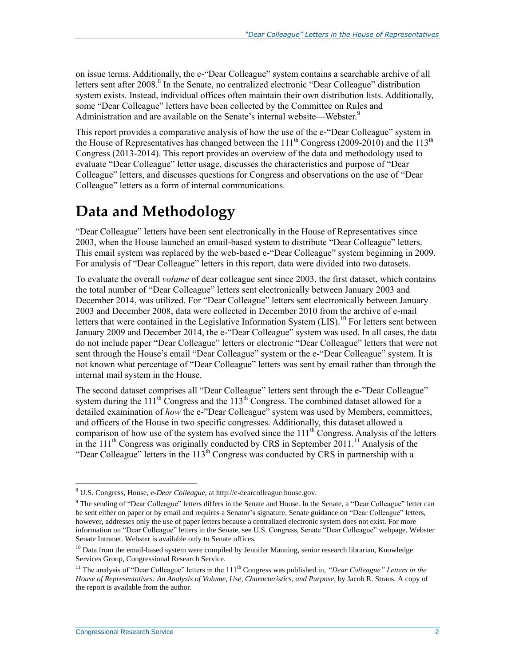on issue terms. Additionally, the e-"Dear Colleague" system contains a searchable archive of all letters sent after 2008.<sup>8</sup> In the Senate, no centralized electronic "Dear Colleague" distribution system exists. Instead, individual offices often maintain their own distribution lists. Additionally, some "Dear Colleague" letters have been collected by the Committee on Rules and Administration and are available on the Senate's internal website—Webster.<sup>9</sup>

This report provides a comparative analysis of how the use of the e-"Dear Colleague" system in the House of Representatives has changed between the  $111<sup>th</sup>$  Congress (2009-2010) and the  $113<sup>th</sup>$ Congress (2013-2014). This report provides an overview of the data and methodology used to evaluate "Dear Colleague" letter usage, discusses the characteristics and purpose of "Dear Colleague" letters, and discusses questions for Congress and observations on the use of "Dear Colleague" letters as a form of internal communications.

## **Data and Methodology**

"Dear Colleague" letters have been sent electronically in the House of Representatives since 2003, when the House launched an email-based system to distribute "Dear Colleague" letters. This email system was replaced by the web-based e-"Dear Colleague" system beginning in 2009. For analysis of "Dear Colleague" letters in this report, data were divided into two datasets.

To evaluate the overall *volume* of dear colleague sent since 2003, the first dataset, which contains the total number of "Dear Colleague" letters sent electronically between January 2003 and December 2014, was utilized. For "Dear Colleague" letters sent electronically between January 2003 and December 2008, data were collected in December 2010 from the archive of e-mail letters that were contained in the Legislative Information System  $(LIS)$ <sup>10</sup> For letters sent between January 2009 and December 2014, the e-"Dear Colleague" system was used. In all cases, the data do not include paper "Dear Colleague" letters or electronic "Dear Colleague" letters that were not sent through the House's email "Dear Colleague" system or the e-"Dear Colleague" system. It is not known what percentage of "Dear Colleague" letters was sent by email rather than through the internal mail system in the House.

The second dataset comprises all "Dear Colleague" letters sent through the e-"Dear Colleague" system during the  $111^{th}$  Congress and the  $113^{th}$  Congress. The combined dataset allowed for a detailed examination of *how* the e-"Dear Colleague" system was used by Members, committees, and officers of the House in two specific congresses. Additionally, this dataset allowed a comparison of how use of the system has evolved since the  $111<sup>th</sup>$  Congress. Analysis of the letters in the  $111<sup>th</sup>$  Congress was originally conducted by CRS in September 2011.<sup>11</sup> Analysis of the "Dear Colleague" letters in the  $113<sup>th</sup>$  Congress was conducted by CRS in partnership with a

<sup>8</sup> U.S. Congress, House, *e-Dear Colleague*, at http://e-dearcolleague.house.gov.

<sup>9</sup> The sending of "Dear Colleague" letters differs in the Senate and House. In the Senate, a "Dear Colleague" letter can be sent either on paper or by email and requires a Senator's signature. Senate guidance on "Dear Colleague" letters, however, addresses only the use of paper letters because a centralized electronic system does not exist. For more information on "Dear Colleague" letters in the Senate, see U.S. Congress, Senate "Dear Colleague" webpage, Webster Senate Intranet. Webster is available only to Senate offices.

<sup>&</sup>lt;sup>10</sup> Data from the email-based system were compiled by Jennifer Manning, senior research librarian, Knowledge Services Group, Congressional Research Service.

<sup>&</sup>lt;sup>11</sup> The analysis of "Dear Colleague" letters in the 111<sup>th</sup> Congress was published in, "Dear Colleague" Letters in the *House of Representatives: An Analysis of Volume, Use, Characteristics, and Purpose*, by Jacob R. Straus. A copy of the report is available from the author.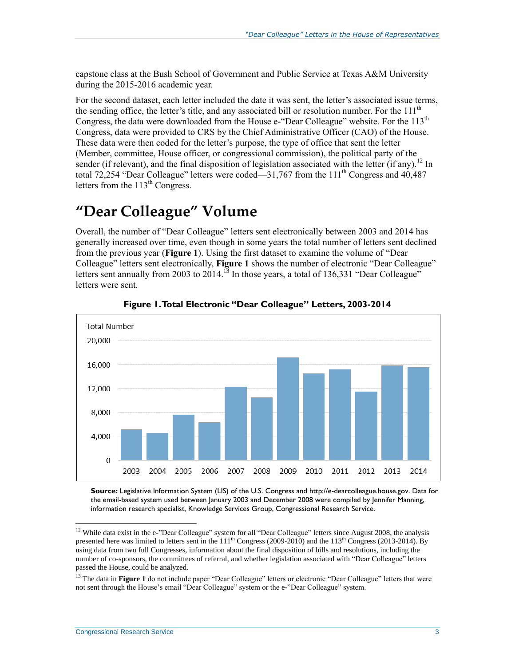capstone class at the Bush School of Government and Public Service at Texas A&M University during the 2015-2016 academic year.

For the second dataset, each letter included the date it was sent, the letter's associated issue terms, the sending office, the letter's title, and any associated bill or resolution number. For the  $111<sup>th</sup>$ Congress, the data were downloaded from the House e-"Dear Colleague" website. For the  $113<sup>th</sup>$ Congress, data were provided to CRS by the Chief Administrative Officer (CAO) of the House. These data were then coded for the letter's purpose, the type of office that sent the letter (Member, committee, House officer, or congressional commission), the political party of the sender (if relevant), and the final disposition of legislation associated with the letter (if any).<sup>12</sup> In total 72,254 "Dear Colleague" letters were coded—31,767 from the  $111<sup>th</sup>$  Congress and 40,487 letters from the  $113<sup>th</sup>$  Congress.

## **"Dear Colleague" Volume**

Overall, the number of "Dear Colleague" letters sent electronically between 2003 and 2014 has generally increased over time, even though in some years the total number of letters sent declined from the previous year (**[Figure 1](#page-5-0)**). Using the first dataset to examine the volume of "Dear Colleague" letters sent electronically, **[Figure 1](#page-5-0)** shows the number of electronic "Dear Colleague" letters sent annually from 2003 to 2014.<sup>13</sup> In those years, a total of 136,331 "Dear Colleague" letters were sent.

<span id="page-5-0"></span>

**Figure 1. Total Electronic "Dear Colleague" Letters, 2003-2014**

**Source:** Legislative Information System (LIS) of the U.S. Congress and http://e-dearcolleague.house.gov. Data for the email-based system used between January 2003 and December 2008 were compiled by Jennifer Manning, information research specialist, Knowledge Services Group, Congressional Research Service.

<sup>&</sup>lt;sup>12</sup> While data exist in the e-"Dear Colleague" system for all "Dear Colleague" letters since August 2008, the analysis presented here was limited to letters sent in the 111<sup>th</sup> Congress (2009-2010) and the 113<sup>th</sup> Congress (2013-2014). By using data from two full Congresses, information about the final disposition of bills and resolutions, including the number of co-sponsors, the committees of referral, and whether legislation associated with "Dear Colleague" letters passed the House, could be analyzed.

<sup>&</sup>lt;sup>13</sup> The data in [Figure 1](#page-5-0) do not include paper "Dear Colleague" letters or electronic "Dear Colleague" letters that were not sent through the House's email "Dear Colleague" system or the e-"Dear Colleague" system.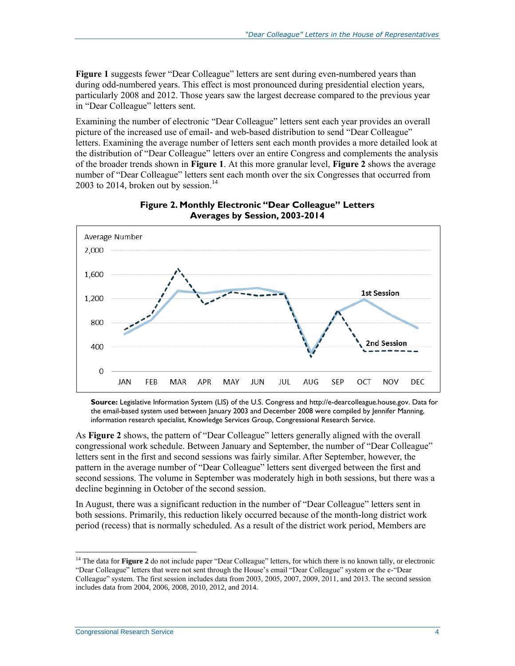**[Figure 1](#page-5-0)** suggests fewer "Dear Colleague" letters are sent during even-numbered years than during odd-numbered years. This effect is most pronounced during presidential election years, particularly 2008 and 2012. Those years saw the largest decrease compared to the previous year in "Dear Colleague" letters sent.

Examining the number of electronic "Dear Colleague" letters sent each year provides an overall picture of the increased use of email- and web-based distribution to send "Dear Colleague" letters. Examining the average number of letters sent each month provides a more detailed look at the distribution of "Dear Colleague" letters over an entire Congress and complements the analysis of the broader trends shown in **[Figure 1](#page-5-0)**. At this more granular level, **[Figure 2](#page-6-0)** shows the average number of "Dear Colleague" letters sent each month over the six Congresses that occurred from 2003 to 2014, broken out by session. 14

<span id="page-6-0"></span>

#### **Figure 2. Monthly Electronic "Dear Colleague" Letters Averages by Session, 2003-2014**

**Source:** Legislative Information System (LIS) of the U.S. Congress and [http://e-dearcolleague.house.gov.](http://e-dearcolleague.house.gov/) Data for the email-based system used between January 2003 and December 2008 were compiled by Jennifer Manning, information research specialist, Knowledge Services Group, Congressional Research Service.

As **[Figure 2](#page-6-0)** shows, the pattern of "Dear Colleague" letters generally aligned with the overall congressional work schedule. Between January and September, the number of "Dear Colleague" letters sent in the first and second sessions was fairly similar. After September, however, the pattern in the average number of "Dear Colleague" letters sent diverged between the first and second sessions. The volume in September was moderately high in both sessions, but there was a decline beginning in October of the second session.

In August, there was a significant reduction in the number of "Dear Colleague" letters sent in both sessions. Primarily, this reduction likely occurred because of the month-long district work period (recess) that is normally scheduled. As a result of the district work period, Members are

<sup>&</sup>lt;sup>14</sup> The data for **[Figure 2](#page-6-0)** do not include paper "Dear Colleague" letters, for which there is no known tally, or electronic "Dear Colleague" letters that were not sent through the House's email "Dear Colleague" system or the e-"Dear Colleague" system. The first session includes data from 2003, 2005, 2007, 2009, 2011, and 2013. The second session includes data from 2004, 2006, 2008, 2010, 2012, and 2014.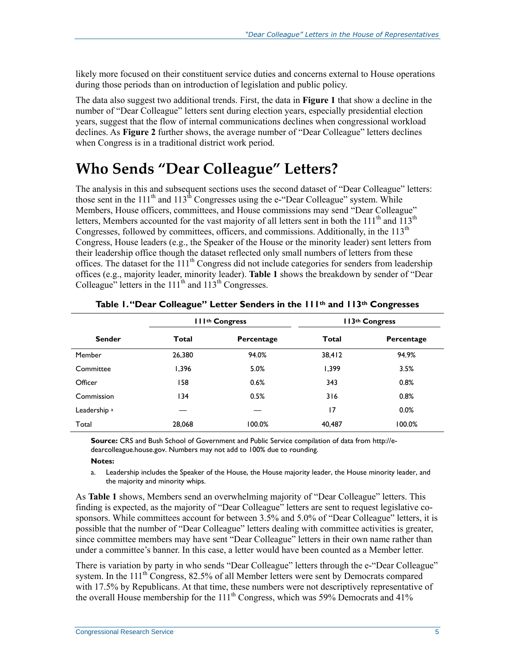likely more focused on their constituent service duties and concerns external to House operations during those periods than on introduction of legislation and public policy.

The data also suggest two additional trends. First, the data in **[Figure 1](#page-5-0)** that show a decline in the number of "Dear Colleague" letters sent during election years, especially presidential election years, suggest that the flow of internal communications declines when congressional workload declines. As **[Figure 2](#page-6-0)** further shows, the average number of "Dear Colleague" letters declines when Congress is in a traditional district work period.

## **Who Sends "Dear Colleague" Letters?**

The analysis in this and subsequent sections uses the second dataset of "Dear Colleague" letters: those sent in the  $111<sup>th</sup>$  and  $113<sup>th</sup>$  Congresses using the e-"Dear Colleague" system. While Members, House officers, committees, and House commissions may send "Dear Colleague" letters, Members accounted for the vast majority of all letters sent in both the 111<sup>th</sup> and  $113<sup>th</sup>$ Congresses, followed by committees, officers, and commissions. Additionally, in the 113<sup>th</sup> Congress, House leaders (e.g., the Speaker of the House or the minority leader) sent letters from their leadership office though the dataset reflected only small numbers of letters from these offices. The dataset for the  $111<sup>th</sup>$  Congress did not include categories for senders from leadership offices (e.g., majority leader, minority leader). **[Table 1](#page-7-0)** shows the breakdown by sender of "Dear Colleague" letters in the  $111<sup>th</sup>$  and  $113<sup>th</sup>$  Congresses.

<span id="page-7-0"></span>

|                         | III <sup>th</sup> Congress |            |        | II3th Congress |
|-------------------------|----------------------------|------------|--------|----------------|
| <b>Sender</b>           | Total                      | Percentage |        | Percentage     |
| Member                  | 26,380                     | 94.0%      | 38,412 | 94.9%          |
| Committee               | 1,396                      | 5.0%       | 1,399  | 3.5%           |
| Officer                 | 158                        | 0.6%       | 343    | 0.8%           |
| Commission              | 134                        | 0.5%       | 316    | 0.8%           |
| Leadership <sup>a</sup> |                            |            | 17     | 0.0%           |
| Total                   | 28,068                     | 100.0%     | 40,487 | 100.0%         |

#### **Table 1. "Dear Colleague" Letter Senders in the 111th and 113th Congresses**

**Source:** CRS and Bush School of Government and Public Service compilation of data from http://edearcolleague.house.gov. Numbers may not add to 100% due to rounding.

#### **Notes:**

<span id="page-7-1"></span>a. Leadership includes the Speaker of the House, the House majority leader, the House minority leader, and the majority and minority whips.

As **[Table 1](#page-7-0)** shows, Members send an overwhelming majority of "Dear Colleague" letters. This finding is expected, as the majority of "Dear Colleague" letters are sent to request legislative cosponsors. While committees account for between 3.5% and 5.0% of "Dear Colleague" letters, it is possible that the number of "Dear Colleague" letters dealing with committee activities is greater, since committee members may have sent "Dear Colleague" letters in their own name rather than under a committee's banner. In this case, a letter would have been counted as a Member letter.

There is variation by party in who sends "Dear Colleague" letters through the e-"Dear Colleague" system. In the  $111<sup>th</sup>$  Congress, 82.5% of all Member letters were sent by Democrats compared with 17.5% by Republicans. At that time, these numbers were not descriptively representative of the overall House membership for the  $111<sup>th</sup>$  Congress, which was 59% Democrats and 41%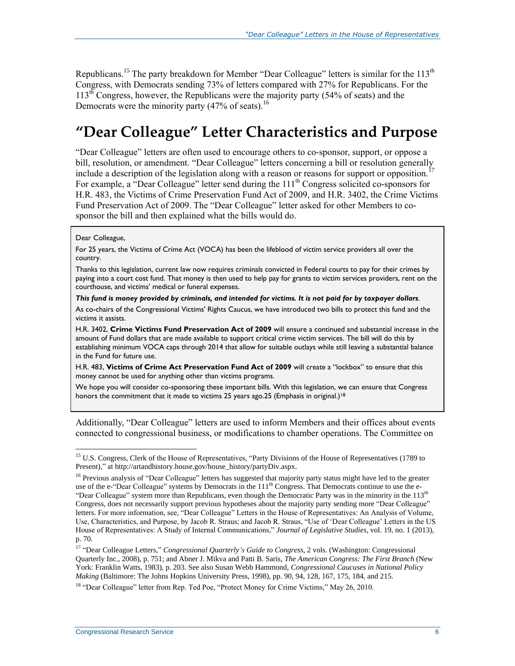Republicans.<sup>15</sup> The party breakdown for Member "Dear Colleague" letters is similar for the 113<sup>th</sup> Congress, with Democrats sending 73% of letters compared with 27% for Republicans. For the  $113<sup>th</sup>$  Congress, however, the Republicans were the majority party (54% of seats) and the Democrats were the minority party  $(47\% \text{ of seats})$ .<sup>16</sup>

## **"Dear Colleague" Letter Characteristics and Purpose**

"Dear Colleague" letters are often used to encourage others to co-sponsor, support, or oppose a bill, resolution, or amendment. "Dear Colleague" letters concerning a bill or resolution generally include a description of the legislation along with a reason or reasons for support or opposition.<sup>17</sup> For example, a "Dear Colleague" letter send during the 111<sup>th</sup> Congress solicited co-sponsors for [H.R. 483,](http://www.congress.gov/cgi-lis/bdquery/z?d111:H.R.483:) the Victims of Crime Preservation Fund Act of 2009, and H.R. 3402, the Crime Victims Fund Preservation Act of 2009. The "Dear Colleague" letter asked for other Members to cosponsor the bill and then explained what the bills would do.

#### Dear Colleague,

 $\overline{a}$ 

For 25 years, the Victims of Crime Act (VOCA) has been the lifeblood of victim service providers all over the country.

Thanks to this legislation, current law now requires criminals convicted in Federal courts to pay for their crimes by paying into a court cost fund. That money is then used to help pay for grants to victim services providers, rent on the courthouse, and victims' medical or funeral expenses.

*This fund is money provided by criminals, and intended for victims. It is not paid for by taxpayer dollars*.

As co-chairs of the Congressional Victims' Rights Caucus, we have introduced two bills to protect this fund and the victims it assists.

[H.R. 3402,](http://www.congress.gov/cgi-lis/bdquery/z?d111:H.R.3402:) **Crime Victims Fund Preservation Act of 2009** will ensure a continued and substantial increase in the amount of Fund dollars that are made available to support critical crime victim services. The bill will do this by establishing minimum VOCA caps through 2014 that allow for suitable outlays while still leaving a substantial balance in the Fund for future use.

H.R. 483, **Victims of Crime Act Preservation Fund Act of 2009** will create a "lockbox" to ensure that this money cannot be used for anything other than victims programs.

We hope you will consider co-sponsoring these important bills. With this legislation, we can ensure that Congress honors the commitment that it made to victims 25 years ago.25 (Emphasis in original.)<sup>18</sup>

Additionally, "Dear Colleague" letters are used to inform Members and their offices about events connected to congressional business, or modifications to chamber operations. The Committee on

<sup>&</sup>lt;sup>15</sup> U.S. Congress, Clerk of the House of Representatives, "Party Divisions of the House of Representatives (1789 to Present)," at http://artandhistory.house.gov/house\_history/partyDiv.aspx.

<sup>&</sup>lt;sup>16</sup> Previous analysis of "Dear Colleague" letters has suggested that majority party status might have led to the greater use of the e-"Dear Colleague" systems by Democrats in the 111<sup>th</sup> Congress. That Democrats continue to use the e-"Dear Colleague" system more than Republicans, even though the Democratic Party was in the minority in the 113<sup>th</sup> Congress, does not necessarily support previous hypotheses about the majority party sending more "Dear Colleague" letters. For more information, see, "Dear Colleague" Letters in the House of Representatives: An Analysis of Volume, Use, Characteristics, and Purpose, by Jacob R. Straus; and Jacob R. Straus, "Use of 'Dear Colleague' Letters in the US House of Representatives: A Study of Internal Communications," *Journal of Legislative Studies*, vol. 19, no. 1 (2013), p. 70.

<sup>17</sup> "Dear Colleague Letters," *Congressional Quarterly's Guide to Congress*, 2 vols. (Washington: Congressional Quarterly Inc., 2008), p. 751; and Abner J. Mikva and Patti B. Saris, *The American Congress: The First Branch* (New York: Franklin Watts, 1983), p. 203. See also Susan Webb Hammond, *Congressional Caucuses in National Policy Making* (Baltimore: The Johns Hopkins University Press, 1998), pp. 90, 94, 128, 167, 175, 184, and 215.

<sup>&</sup>lt;sup>18</sup> "Dear Colleague" letter from Rep. Ted Poe, "Protect Money for Crime Victims," May 26, 2010.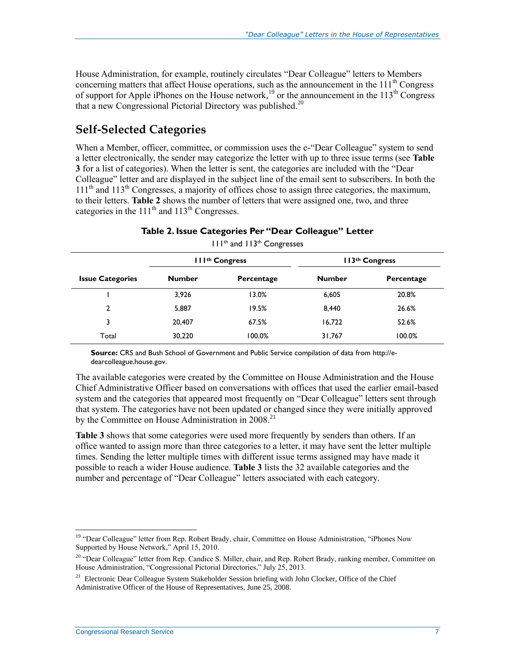House Administration, for example, routinely circulates "Dear Colleague" letters to Members concerning matters that affect House operations, such as the announcement in the  $111<sup>th</sup>$  Congress of support for Apple iPhones on the House network,<sup>19</sup> or the announcement in the 113<sup>th</sup> Congress that a new Congressional Pictorial Directory was published.<sup>20</sup>

### **Self-Selected Categories**

When a Member, officer, committee, or commission uses the e-"Dear Colleague" system to send a letter electronically, the sender may categorize the letter with up to three issue terms (see **[Table](#page-10-0)  [3](#page-10-0)** for a list of categories). When the letter is sent, the categories are included with the "Dear Colleague" letter and are displayed in the subject line of the email sent to subscribers. In both the  $111<sup>th</sup>$  and  $113<sup>th</sup>$  Congresses, a majority of offices chose to assign three categories, the maximum, to their letters. **[Table 2](#page-9-0)** shows the number of letters that were assigned one, two, and three categories in the  $111<sup>th</sup>$  and  $113<sup>th</sup>$  Congresses.

**Table 2. Issue Categories Per "Dear Colleague" Letter**

<span id="page-9-0"></span>

|                         |               | <b>III<sup>th</sup> Congress</b> |               | 113 <sup>th</sup> Congress |
|-------------------------|---------------|----------------------------------|---------------|----------------------------|
| <b>Issue Categories</b> | <b>Number</b> | Percentage                       | <b>Number</b> | Percentage                 |
|                         | 3,926         | 13.0%                            | 6,605         | 20.8%                      |
| 2                       | 5,887         | 19.5%                            | 8,440         | 26.6%                      |
| 3                       | 20,407        | 67.5%                            | 16,722        | 52.6%                      |
| Total                   | 30,220        | 100.0%                           | 31,767        | 100.0%                     |

111th and 113th Congresses

**Source:** CRS and Bush School of Government and Public Service compilation of data from [http://e](http://e-dearcolleague.house.gov/)[dearcolleague.house.gov.](http://e-dearcolleague.house.gov/)

The available categories were created by the Committee on House Administration and the House Chief Administrative Officer based on conversations with offices that used the earlier email-based system and the categories that appeared most frequently on "Dear Colleague" letters sent through that system. The categories have not been updated or changed since they were initially approved by the Committee on House Administration in 2008.<sup>21</sup>

**[Table 3](#page-10-0)** shows that some categories were used more frequently by senders than others. If an office wanted to assign more than three categories to a letter, it may have sent the letter multiple times. Sending the letter multiple times with different issue terms assigned may have made it possible to reach a wider House audience. **[Table 3](#page-10-0)** lists the 32 available categories and the number and percentage of "Dear Colleague" letters associated with each category.

 $\overline{a}$ <sup>19</sup> "Dear Colleague" letter from Rep. Robert Brady, chair, Committee on House Administration, "iPhones Now Supported by House Network," April 15, 2010.

<sup>&</sup>lt;sup>20</sup> "Dear Colleague" letter from Rep. Candice S. Miller, chair, and Rep. Robert Brady, ranking member, Committee on House Administration, "Congressional Pictorial Directories," July 25, 2013.

<sup>&</sup>lt;sup>21</sup> Electronic Dear Colleague System Stakeholder Session briefing with John Clocker, Office of the Chief Administrative Officer of the House of Representatives, June 25, 2008.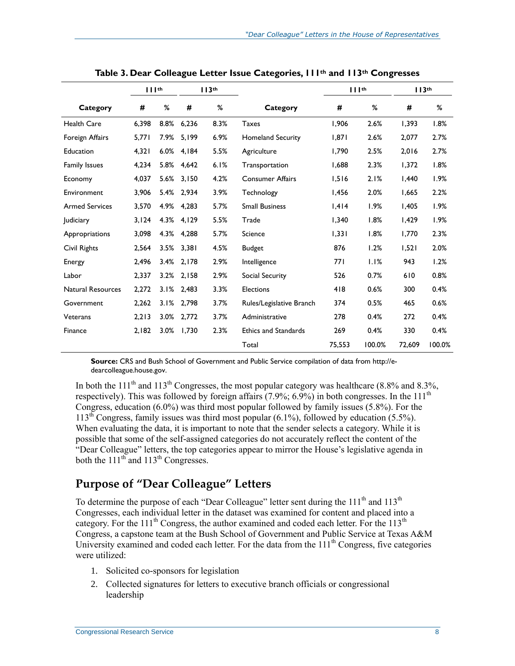<span id="page-10-0"></span>

|                          | $    $ th |      |       | 113 <sup>th</sup> | $    $ <sup>th</sup><br>113 <sup>th</sup> |            |        |        |        |
|--------------------------|-----------|------|-------|-------------------|-------------------------------------------|------------|--------|--------|--------|
| Category                 | #         | %    | #     | %                 | Category                                  | #          | %      | #      | %      |
| <b>Health Care</b>       | 6,398     | 8.8% | 6,236 | 8.3%              | <b>Taxes</b>                              | 1,906      | 2.6%   | 1,393  | 1.8%   |
| Foreign Affairs          | 5,771     | 7.9% | 5,199 | 6.9%              | <b>Homeland Security</b>                  | 1,871      | 2.6%   | 2,077  | 2.7%   |
| Education                | 4,321     | 6.0% | 4,184 | 5.5%              | Agriculture                               | 1,790      | 2.5%   | 2,016  | 2.7%   |
| Family Issues            | 4,234     | 5.8% | 4,642 | 6.1%              | Transportation                            | 1,688      | 2.3%   | 1,372  | 1.8%   |
| Economy                  | 4,037     | 5.6% | 3,150 | 4.2%              | <b>Consumer Affairs</b>                   | 1,516      | 2.1%   | 1,440  | 1.9%   |
| Environment              | 3,906     | 5.4% | 2,934 | 3.9%              | Technology                                | 1,456      | 2.0%   | 1,665  | 2.2%   |
| <b>Armed Services</b>    | 3,570     | 4.9% | 4,283 | 5.7%              | <b>Small Business</b>                     | 1,414      | 1.9%   | 1,405  | 1.9%   |
| <b>Judiciary</b>         | 3,124     | 4.3% | 4,129 | 5.5%              | Trade                                     | 1,340      | 1.8%   | 1,429  | 1.9%   |
| Appropriations           | 3,098     | 4.3% | 4,288 | 5.7%              | Science                                   | 1,331      | 1.8%   | 1,770  | 2.3%   |
| Civil Rights             | 2,564     | 3.5% | 3,381 | 4.5%              | <b>Budget</b>                             | 876        | 1.2%   | 1,521  | 2.0%   |
| Energy                   | 2,496     | 3.4% | 2.178 | 2.9%              | Intelligence                              | <b>771</b> | 1.1%   | 943    | 1.2%   |
| Labor                    | 2,337     | 3.2% | 2,158 | 2.9%              | Social Security                           | 526        | 0.7%   | 610    | 0.8%   |
| <b>Natural Resources</b> | 2,272     | 3.1% | 2,483 | 3.3%              | <b>Elections</b>                          | 418        | 0.6%   | 300    | 0.4%   |
| Government               | 2,262     | 3.1% | 2,798 | 3.7%              | Rules/Legislative Branch                  | 374        | 0.5%   | 465    | 0.6%   |
| Veterans                 | 2,213     | 3.0% | 2,772 | 3.7%              | Administrative                            | 278        | 0.4%   | 272    | 0.4%   |
| Finance                  | 2,182     | 3.0% | 1,730 | 2.3%              | <b>Ethics and Standards</b>               | 269        | 0.4%   | 330    | 0.4%   |
|                          |           |      |       |                   | Total                                     | 75,553     | 100.0% | 72.609 | 100.0% |

**Table 3. Dear Colleague Letter Issue Categories, 111th and 113th Congresses**

**Source:** CRS and Bush School of Government and Public Service compilation of data from http://edearcolleague.house.gov.

In both the 111<sup>th</sup> and 113<sup>th</sup> Congresses, the most popular category was healthcare (8.8% and 8.3%, respectively). This was followed by foreign affairs  $(7.9\%; 6.9\%)$  in both congresses. In the 111<sup>th</sup> Congress, education (6.0%) was third most popular followed by family issues (5.8%). For the  $113<sup>th</sup>$  Congress, family issues was third most popular (6.1%), followed by education (5.5%). When evaluating the data, it is important to note that the sender selects a category. While it is possible that some of the self-assigned categories do not accurately reflect the content of the "Dear Colleague" letters, the top categories appear to mirror the House's legislative agenda in both the  $111<sup>th</sup>$  and  $113<sup>th</sup>$  Congresses.

### **Purpose of "Dear Colleague" Letters**

To determine the purpose of each "Dear Colleague" letter sent during the 111<sup>th</sup> and 113<sup>th</sup> Congresses, each individual letter in the dataset was examined for content and placed into a category. For the  $111<sup>th</sup>$  Congress, the author examined and coded each letter. For the  $113<sup>th</sup>$ Congress, a capstone team at the Bush School of Government and Public Service at Texas A&M University examined and coded each letter. For the data from the 111<sup>th</sup> Congress, five categories were utilized:

- 1. Solicited co-sponsors for legislation
- 2. Collected signatures for letters to executive branch officials or congressional leadership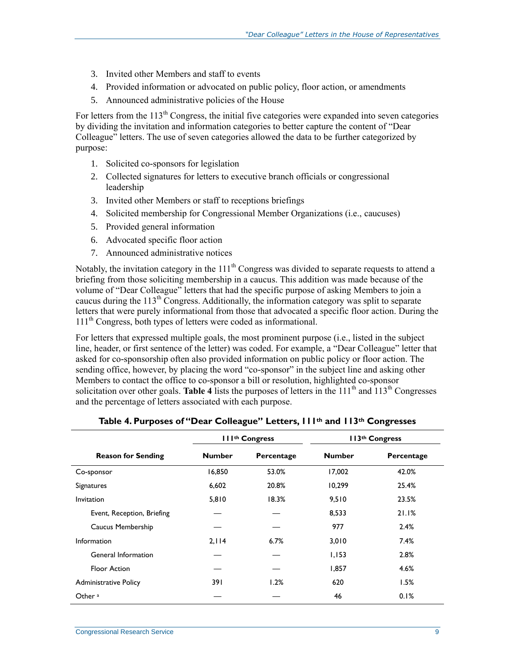- 3. Invited other Members and staff to events
- 4. Provided information or advocated on public policy, floor action, or amendments
- 5. Announced administrative policies of the House

For letters from the  $113<sup>th</sup>$  Congress, the initial five categories were expanded into seven categories by dividing the invitation and information categories to better capture the content of "Dear Colleague" letters. The use of seven categories allowed the data to be further categorized by purpose:

- 1. Solicited co-sponsors for legislation
- 2. Collected signatures for letters to executive branch officials or congressional leadership
- 3. Invited other Members or staff to receptions briefings
- 4. Solicited membership for Congressional Member Organizations (i.e., caucuses)
- 5. Provided general information
- 6. Advocated specific floor action
- 7. Announced administrative notices

Notably, the invitation category in the  $111<sup>th</sup>$  Congress was divided to separate requests to attend a briefing from those soliciting membership in a caucus. This addition was made because of the volume of "Dear Colleague" letters that had the specific purpose of asking Members to join a caucus during the  $113<sup>th</sup>$  Congress. Additionally, the information category was split to separate letters that were purely informational from those that advocated a specific floor action. During the 111<sup>th</sup> Congress, both types of letters were coded as informational.

For letters that expressed multiple goals, the most prominent purpose (i.e., listed in the subject line, header, or first sentence of the letter) was coded. For example, a "Dear Colleague" letter that asked for co-sponsorship often also provided information on public policy or floor action. The sending office, however, by placing the word "co-sponsor" in the subject line and asking other Members to contact the office to co-sponsor a bill or resolution, highlighted co-sponsor solicitation over other goals. **[Table 4](#page-11-0)** lists the purposes of letters in the 111<sup>th</sup> and 113<sup>th</sup> Congresses and the percentage of letters associated with each purpose.

<span id="page-11-0"></span>

|                              | <b>IIIth Congress</b>       |       |               | II3th Congress |
|------------------------------|-----------------------------|-------|---------------|----------------|
| <b>Reason for Sending</b>    | <b>Number</b><br>Percentage |       | <b>Number</b> | Percentage     |
| Co-sponsor                   | 16,850                      | 53.0% | 17,002        | 42.0%          |
| Signatures                   | 6,602                       | 20.8% | 10,299        | 25.4%          |
| <i>Invitation</i>            | 5,810                       | 18.3% | 9,510         | 23.5%          |
| Event, Reception, Briefing   |                             |       | 8,533         | 21.1%          |
| Caucus Membership            |                             |       | 977           | 2.4%           |
| Information                  | 2,114                       | 6.7%  | 3.010         | 7.4%           |
| General Information          |                             |       | 1,153         | 2.8%           |
| <b>Floor Action</b>          |                             |       | 1,857         | 4.6%           |
| <b>Administrative Policy</b> | 391                         | 1.2%  | 620           | 1.5%           |
| Other <sup>a</sup>           |                             |       | 46            | 0.1%           |

|  | Table 4. Purposes of "Dear Colleague" Letters, III <sup>th</sup> and II3 <sup>th</sup> Congresses |  |  |  |  |  |  |
|--|---------------------------------------------------------------------------------------------------|--|--|--|--|--|--|
|--|---------------------------------------------------------------------------------------------------|--|--|--|--|--|--|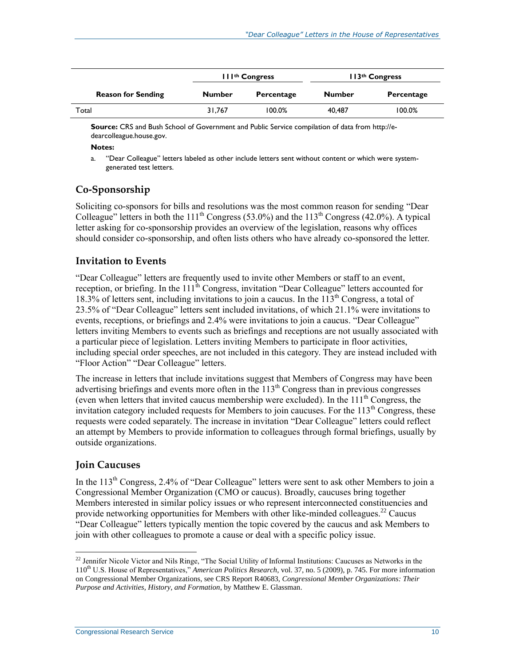|                           |               | III <sup>th</sup> Congress | 113 <sup>th</sup> Congress |            |  |
|---------------------------|---------------|----------------------------|----------------------------|------------|--|
| <b>Reason for Sending</b> | <b>Number</b> | Percentage                 | <b>Number</b>              | Percentage |  |
| Total                     | 31.767        | 100.0%                     | 40.487                     | 100.0%     |  |

**Source:** CRS and Bush School of Government and Public Service compilation of data from [http://e](http://e-dearcolleague.house.gov/)[dearcolleague.house.gov.](http://e-dearcolleague.house.gov/)

**Notes:** 

#### **Co-Sponsorship**

Soliciting co-sponsors for bills and resolutions was the most common reason for sending "Dear Colleague" letters in both the  $111<sup>th</sup>$  Congress (53.0%) and the  $113<sup>th</sup>$  Congress (42.0%). A typical letter asking for co-sponsorship provides an overview of the legislation, reasons why offices should consider co-sponsorship, and often lists others who have already co-sponsored the letter.

#### **Invitation to Events**

"Dear Colleague" letters are frequently used to invite other Members or staff to an event, reception, or briefing. In the  $111<sup>th</sup>$  Congress, invitation "Dear Colleague" letters accounted for 18.3% of letters sent, including invitations to join a caucus. In the  $113<sup>th</sup>$  Congress, a total of 23.5% of "Dear Colleague" letters sent included invitations, of which 21.1% were invitations to events, receptions, or briefings and 2.4% were invitations to join a caucus. "Dear Colleague" letters inviting Members to events such as briefings and receptions are not usually associated with a particular piece of legislation. Letters inviting Members to participate in floor activities, including special order speeches, are not included in this category. They are instead included with ["Floor Action"](#page-14-0) "Dear Colleague" letters.

The increase in letters that include invitations suggest that Members of Congress may have been advertising briefings and events more often in the  $113<sup>th</sup>$  Congress than in previous congresses (even when letters that invited caucus membership were excluded). In the  $111<sup>th</sup>$  Congress, the invitation category included requests for Members to join caucuses. For the  $113<sup>th</sup>$  Congress, these requests were coded separately. The increase in invitation "Dear Colleague" letters could reflect an attempt by Members to provide information to colleagues through formal briefings, usually by outside organizations.

#### **Join Caucuses**

 $\overline{a}$ 

In the 113<sup>th</sup> Congress, 2.4% of "Dear Colleague" letters were sent to ask other Members to join a Congressional Member Organization (CMO or caucus). Broadly, caucuses bring together Members interested in similar policy issues or who represent interconnected constituencies and provide networking opportunities for Members with other like-minded colleagues.<sup>22</sup> Caucus "Dear Colleague" letters typically mention the topic covered by the caucus and ask Members to join with other colleagues to promote a cause or deal with a specific policy issue.

<span id="page-12-0"></span>a. "Dear Colleague" letters labeled as other include letters sent without content or which were systemgenerated test letters.

 $^{22}$  Jennifer Nicole Victor and Nils Ringe, "The Social Utility of Informal Institutions: Caucuses as Networks in the 110th U.S. House of Representatives," *American Politics Research*, vol. 37, no. 5 (2009), p. 745. For more information on Congressional Member Organizations, see CRS Report R40683, *Congressional Member Organizations: Their Purpose and Activities, History, and Formation*, by Matthew E. Glassman.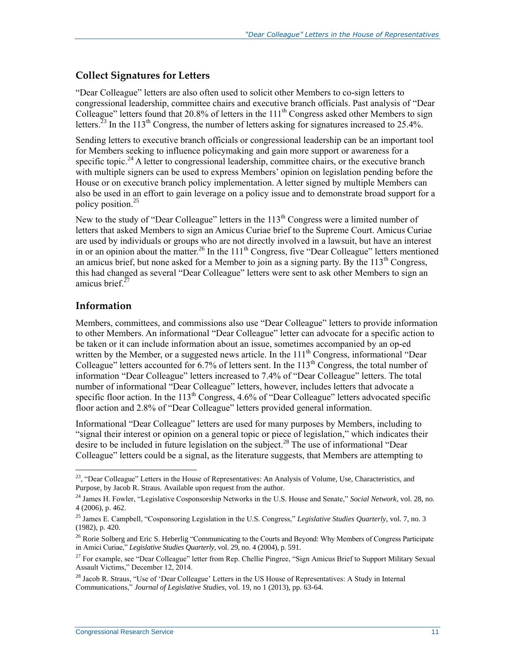#### **Collect Signatures for Letters**

"Dear Colleague" letters are also often used to solicit other Members to co-sign letters to congressional leadership, committee chairs and executive branch officials. Past analysis of "Dear Colleague" letters found that 20.8% of letters in the  $111<sup>th</sup>$  Congress asked other Members to sign letters.<sup>23</sup> In the 113<sup>th</sup> Congress, the number of letters asking for signatures increased to 25.4%.

Sending letters to executive branch officials or congressional leadership can be an important tool for Members seeking to influence policymaking and gain more support or awareness for a specific topic.<sup>24</sup> A letter to congressional leadership, committee chairs, or the executive branch with multiple signers can be used to express Members' opinion on legislation pending before the House or on executive branch policy implementation. A letter signed by multiple Members can also be used in an effort to gain leverage on a policy issue and to demonstrate broad support for a policy position.<sup>25</sup>

New to the study of "Dear Colleague" letters in the  $113<sup>th</sup>$  Congress were a limited number of letters that asked Members to sign an Amicus Curiae brief to the Supreme Court. Amicus Curiae are used by individuals or groups who are not directly involved in a lawsuit, but have an interest in or an opinion about the matter.<sup>26</sup> In the 111<sup>th</sup> Congress, five "Dear Colleague" letters mentioned an amicus brief, but none asked for a Member to join as a signing party. By the  $113<sup>th</sup>$  Congress, this had changed as several "Dear Colleague" letters were sent to ask other Members to sign an amicus brief $^{27}$ 

#### **Information**

 $\overline{a}$ 

Members, committees, and commissions also use "Dear Colleague" letters to provide information to other Members. An informational "Dear Colleague" letter can advocate for a specific action to be taken or it can include information about an issue, sometimes accompanied by an op-ed written by the Member, or a suggested news article. In the  $111<sup>th</sup>$  Congress, informational "Dear Colleague" letters accounted for  $6.7\%$  of letters sent. In the  $113<sup>th</sup>$  Congress, the total number of information "Dear Colleague" letters increased to 7.4% of "Dear Colleague" letters. The total number of informational "Dear Colleague" letters, however, includes letters that advocate a specific floor action. In the  $113<sup>th</sup>$  Congress, 4.6% of "Dear Colleague" letters advocated specific floor action and 2.8% of "Dear Colleague" letters provided general information.

Informational "Dear Colleague" letters are used for many purposes by Members, including to "signal their interest or opinion on a general topic or piece of legislation," which indicates their desire to be included in future legislation on the subject.<sup>28</sup> The use of informational "Dear" Colleague" letters could be a signal, as the literature suggests, that Members are attempting to

 $23$ , "Dear Colleague" Letters in the House of Representatives: An Analysis of Volume, Use, Characteristics, and Purpose, by Jacob R. Straus. Available upon request from the author.

<sup>24</sup> James H. Fowler, "Legislative Cosponsorship Networks in the U.S. House and Senate," *Social Network*, vol. 28, no. 4 (2006), p. 462.

<sup>25</sup> James E. Campbell, "Cosponsoring Legislation in the U.S. Congress," *Legislative Studies Quarterly*, vol. 7, no. 3 (1982), p. 420.

<sup>&</sup>lt;sup>26</sup> Rorie Solberg and Eric S. Heberlig "Communicating to the Courts and Beyond: Why Members of Congress Participate in Amici Curiae," *Legislative Studies Quarterly*, vol. 29, no. 4 (2004), p. 591.

<sup>&</sup>lt;sup>27</sup> For example, see "Dear Colleague" letter from Rep. Chellie Pingree, "Sign Amicus Brief to Support Military Sexual Assault Victims," December 12, 2014.

<sup>&</sup>lt;sup>28</sup> Jacob R. Straus, "Use of 'Dear Colleague' Letters in the US House of Representatives: A Study in Internal Communications," *Journal of Legislative Studies*, vol. 19, no 1 (2013), pp. 63-64.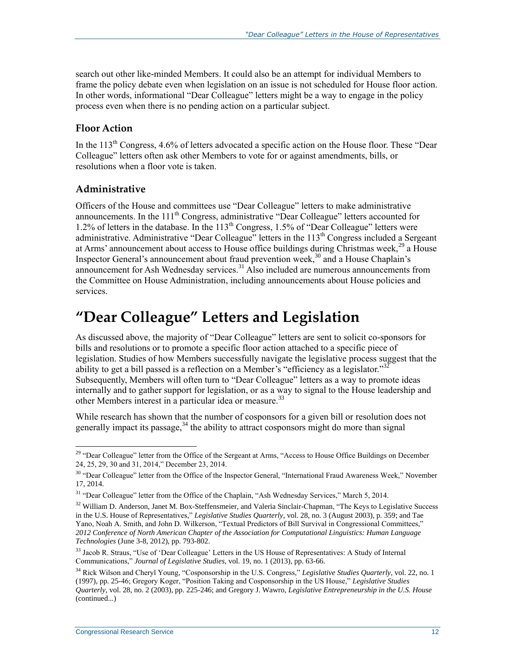search out other like-minded Members. It could also be an attempt for individual Members to frame the policy debate even when legislation on an issue is not scheduled for House floor action. In other words, informational "Dear Colleague" letters might be a way to engage in the policy process even when there is no pending action on a particular subject.

#### <span id="page-14-0"></span>**Floor Action**

In the 113<sup>th</sup> Congress, 4.6% of letters advocated a specific action on the House floor. These "Dear" Colleague" letters often ask other Members to vote for or against amendments, bills, or resolutions when a floor vote is taken.

#### **Administrative**

Officers of the House and committees use "Dear Colleague" letters to make administrative announcements. In the  $111<sup>th</sup>$  Congress, administrative "Dear Colleague" letters accounted for 1.2% of letters in the database. In the  $113<sup>th</sup>$  Congress, 1.5% of "Dear Colleague" letters were administrative. Administrative "Dear Colleague" letters in the 113<sup>th</sup> Congress included a Sergeant at Arms' announcement about access to House office buildings during Christmas week,<sup>29</sup> a House Inspector General's announcement about fraud prevention week,<sup>30</sup> and a House Chaplain's announcement for Ash Wednesday services.<sup>31</sup> Also included are numerous announcements from the Committee on House Administration, including announcements about House policies and services.

## **"Dear Colleague" Letters and Legislation**

As discussed above, the majority of "Dear Colleague" letters are sent to solicit co-sponsors for bills and resolutions or to promote a specific floor action attached to a specific piece of legislation. Studies of how Members successfully navigate the legislative process suggest that the ability to get a bill passed is a reflection on a Member's "efficiency as a legislator."<sup>32</sup> Subsequently, Members will often turn to "Dear Colleague" letters as a way to promote ideas internally and to gather support for legislation, or as a way to signal to the House leadership and other Members interest in a particular idea or measure.<sup>33</sup>

While research has shown that the number of cosponsors for a given bill or resolution does not generally impact its passage,  $34$  the ability to attract cosponsors might do more than signal

 $\overline{a}$ <sup>29</sup> "Dear Colleague" letter from the Office of the Sergeant at Arms, "Access to House Office Buildings on December 24, 25, 29, 30 and 31, 2014," December 23, 2014.

<sup>&</sup>lt;sup>30</sup> "Dear Colleague" letter from the Office of the Inspector General, "International Fraud Awareness Week," November 17, 2014.

<sup>&</sup>lt;sup>31</sup> "Dear Colleague" letter from the Office of the Chaplain, "Ash Wednesday Services," March 5, 2014.

 $32$  William D. Anderson, Janet M. Box-Steffensmeier, and Valeria Sinclair-Chapman, "The Keys to Legislative Success" in the U.S. House of Representatives," *Legislative Studies Quarterly*, vol. 28, no. 3 (August 2003), p. 359; and Tae Yano, Noah A. Smith, and John D. Wilkerson, "Textual Predictors of Bill Survival in Congressional Committees," *2012 Conference of North American Chapter of the Association for Computational Linguistics: Human Language Technologies* (June 3-8, 2012), pp. 793-802.

<sup>33</sup> Jacob R. Straus, "Use of 'Dear Colleague' Letters in the US House of Representatives: A Study of Internal Communications," *Journal of Legislative Studies*, vol. 19, no. 1 (2013), pp. 63-66.

<sup>34</sup> Rick Wilson and Cheryl Young, "Cosponsorship in the U.S. Congress," *Legislative Studies Quarterly*, vol. 22, no. 1 (1997), pp. 25-46; Gregory Koger, "Position Taking and Cosponsorship in the US House," *Legislative Studies Quarterly*, vol. 28, no. 2 (2003), pp. 225-246; and Gregory J. Wawro, *Legislative Entrepreneurship in the U.S. House*  (continued...)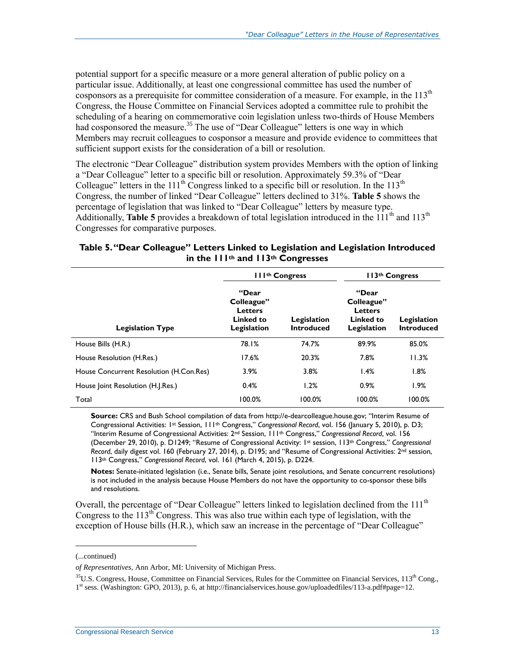potential support for a specific measure or a more general alteration of public policy on a particular issue. Additionally, at least one congressional committee has used the number of cosponsors as a prerequisite for committee consideration of a measure. For example, in the 113<sup>th</sup> Congress, the House Committee on Financial Services adopted a committee rule to prohibit the scheduling of a hearing on commemorative coin legislation unless two-thirds of House Members had cosponsored the measure.<sup>35</sup> The use of "Dear Colleague" letters is one way in which Members may recruit colleagues to cosponsor a measure and provide evidence to committees that sufficient support exists for the consideration of a bill or resolution.

The electronic "Dear Colleague" distribution system provides Members with the option of linking a "Dear Colleague" letter to a specific bill or resolution. Approximately 59.3% of "Dear Colleague" letters in the 111<sup>th</sup> Congress linked to a specific bill or resolution. In the 113<sup>th</sup> Congress, the number of linked "Dear Colleague" letters declined to 31%. **[Table 5](#page-15-0)** shows the percentage of legislation that was linked to "Dear Colleague" letters by measure type. Additionally, **[Table 5](#page-15-0)** provides a breakdown of total legislation introduced in the 111<sup>th</sup> and 113<sup>th</sup> Congresses for comparative purposes.

#### <span id="page-15-0"></span>**Table 5. "Dear Colleague" Letters Linked to Legislation and Legislation Introduced in the 111th and 113th Congresses**

|                                         | III <sup>th</sup> Congress                                               |                                  | 113 <sup>th</sup> Congress                                               |                                  |  |
|-----------------------------------------|--------------------------------------------------------------------------|----------------------------------|--------------------------------------------------------------------------|----------------------------------|--|
| <b>Legislation Type</b>                 | "Dear<br>Colleague"<br><b>Letters</b><br><b>Linked to</b><br>Legislation | Legislation<br><b>Introduced</b> | "Dear<br>Colleague"<br><b>Letters</b><br><b>Linked to</b><br>Legislation | Legislation<br><b>Introduced</b> |  |
| House Bills (H.R.)                      | 78.1%                                                                    | 74.7%                            | 89.9%                                                                    | 85.0%                            |  |
| House Resolution (H.Res.)               | 17.6%                                                                    | 20.3%                            | 7.8%                                                                     | 11.3%                            |  |
| House Concurrent Resolution (H.Con.Res) | 3.9%                                                                     | 3.8%                             | 1.4%                                                                     | 1.8%                             |  |
| House Joint Resolution (H.J.Res.)       | 0.4%                                                                     | 1.2%                             | 0.9%                                                                     | 1.9%                             |  |
| Total                                   | 100.0%                                                                   | 100.0%                           | 100.0%                                                                   | 100.0%                           |  |

**Source:** CRS and Bush School compilation of data from http://e-dearcolleague.house.gov; "Interim Resume of Congressional Activities: 1st Session, 111th Congress," *Congressional Record*, vol. 156 (January 5, 2010), p. D3; "Interim Resume of Congressional Activities: 2<sup>nd</sup> Session, 111<sup>th</sup> Congress," Congressional Record, vol. 156 (December 29, 2010), p. D1249; "Resume of Congressional Activity: 1st session, 113th Congress," *Congressional Record*, daily digest vol. 160 (February 27, 2014), p. D195; and "Resume of Congressional Activities: 2nd session, 113th Congress," *Congressional Record*, vol. 161 (March 4, 2015), p. D224.

**Notes:** Senate-initiated legislation (i.e., Senate bills, Senate joint resolutions, and Senate concurrent resolutions) is not included in the analysis because House Members do not have the opportunity to co-sponsor these bills and resolutions.

Overall, the percentage of "Dear Colleague" letters linked to legislation declined from the 111<sup>th</sup> Congress to the  $113<sup>th</sup>$  Congress. This was also true within each type of legislation, with the exception of House bills (H.R.), which saw an increase in the percentage of "Dear Colleague"

l

<sup>(...</sup>continued)

*of Representatives*, Ann Arbor, MI: University of Michigan Press.

 $35$ U.S. Congress, House, Committee on Financial Services, Rules for the Committee on Financial Services,  $113<sup>th</sup>$  Cong., 1<sup>st</sup> sess. (Washington: GPO, 2013), p. 6, at http://financialservices.house.gov/uploadedfiles/113-a.pdf#page=12.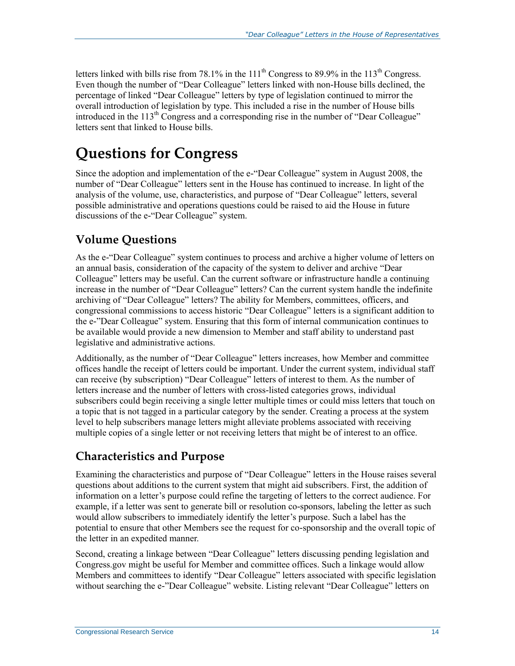letters linked with bills rise from 78.1% in the  $111<sup>th</sup>$  Congress to 89.9% in the  $113<sup>th</sup>$  Congress. Even though the number of "Dear Colleague" letters linked with non-House bills declined, the percentage of linked "Dear Colleague" letters by type of legislation continued to mirror the overall introduction of legislation by type. This included a rise in the number of House bills introduced in the  $113<sup>th</sup>$  Congress and a corresponding rise in the number of "Dear Colleague" letters sent that linked to House bills.

## **Questions for Congress**

Since the adoption and implementation of the e-"Dear Colleague" system in August 2008, the number of "Dear Colleague" letters sent in the House has continued to increase. In light of the analysis of the volume, use, characteristics, and purpose of "Dear Colleague" letters, several possible administrative and operations questions could be raised to aid the House in future discussions of the e-"Dear Colleague" system.

### **Volume Questions**

As the e-"Dear Colleague" system continues to process and archive a higher volume of letters on an annual basis, consideration of the capacity of the system to deliver and archive "Dear Colleague" letters may be useful. Can the current software or infrastructure handle a continuing increase in the number of "Dear Colleague" letters? Can the current system handle the indefinite archiving of "Dear Colleague" letters? The ability for Members, committees, officers, and congressional commissions to access historic "Dear Colleague" letters is a significant addition to the e-"Dear Colleague" system. Ensuring that this form of internal communication continues to be available would provide a new dimension to Member and staff ability to understand past legislative and administrative actions.

Additionally, as the number of "Dear Colleague" letters increases, how Member and committee offices handle the receipt of letters could be important. Under the current system, individual staff can receive (by subscription) "Dear Colleague" letters of interest to them. As the number of letters increase and the number of letters with cross-listed categories grows, individual subscribers could begin receiving a single letter multiple times or could miss letters that touch on a topic that is not tagged in a particular category by the sender. Creating a process at the system level to help subscribers manage letters might alleviate problems associated with receiving multiple copies of a single letter or not receiving letters that might be of interest to an office.

### **Characteristics and Purpose**

Examining the characteristics and purpose of "Dear Colleague" letters in the House raises several questions about additions to the current system that might aid subscribers. First, the addition of information on a letter's purpose could refine the targeting of letters to the correct audience. For example, if a letter was sent to generate bill or resolution co-sponsors, labeling the letter as such would allow subscribers to immediately identify the letter's purpose. Such a label has the potential to ensure that other Members see the request for co-sponsorship and the overall topic of the letter in an expedited manner.

Second, creating a linkage between "Dear Colleague" letters discussing pending legislation and Congress.gov might be useful for Member and committee offices. Such a linkage would allow Members and committees to identify "Dear Colleague" letters associated with specific legislation without searching the e-"Dear Colleague" website. Listing relevant "Dear Colleague" letters on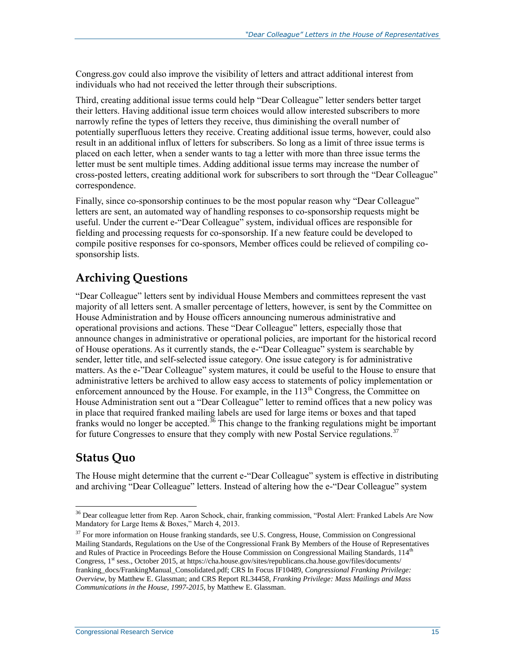Congress.gov could also improve the visibility of letters and attract additional interest from individuals who had not received the letter through their subscriptions.

Third, creating additional issue terms could help "Dear Colleague" letter senders better target their letters. Having additional issue term choices would allow interested subscribers to more narrowly refine the types of letters they receive, thus diminishing the overall number of potentially superfluous letters they receive. Creating additional issue terms, however, could also result in an additional influx of letters for subscribers. So long as a limit of three issue terms is placed on each letter, when a sender wants to tag a letter with more than three issue terms the letter must be sent multiple times. Adding additional issue terms may increase the number of cross-posted letters, creating additional work for subscribers to sort through the "Dear Colleague" correspondence.

Finally, since co-sponsorship continues to be the most popular reason why "Dear Colleague" letters are sent, an automated way of handling responses to co-sponsorship requests might be useful. Under the current e-"Dear Colleague" system, individual offices are responsible for fielding and processing requests for co-sponsorship. If a new feature could be developed to compile positive responses for co-sponsors, Member offices could be relieved of compiling cosponsorship lists.

### **Archiving Questions**

"Dear Colleague" letters sent by individual House Members and committees represent the vast majority of all letters sent. A smaller percentage of letters, however, is sent by the Committee on House Administration and by House officers announcing numerous administrative and operational provisions and actions. These "Dear Colleague" letters, especially those that announce changes in administrative or operational policies, are important for the historical record of House operations. As it currently stands, the e-"Dear Colleague" system is searchable by sender, letter title, and self-selected issue category. One issue category is for administrative matters. As the e-"Dear Colleague" system matures, it could be useful to the House to ensure that administrative letters be archived to allow easy access to statements of policy implementation or enforcement announced by the House. For example, in the  $113<sup>th</sup>$  Congress, the Committee on House Administration sent out a "Dear Colleague" letter to remind offices that a new policy was in place that required franked mailing labels are used for large items or boxes and that taped franks would no longer be accepted.<sup>36</sup> This change to the franking regulations might be important for future Congresses to ensure that they comply with new Postal Service regulations.<sup>37</sup>

### **Status Quo**

 $\overline{a}$ 

The House might determine that the current e-"Dear Colleague" system is effective in distributing and archiving "Dear Colleague" letters. Instead of altering how the e-"Dear Colleague" system

<sup>&</sup>lt;sup>36</sup> Dear colleague letter from Rep. Aaron Schock, chair, franking commission, "Postal Alert: Franked Labels Are Now Mandatory for Large Items & Boxes," March 4, 2013.

<sup>&</sup>lt;sup>37</sup> For more information on House franking standards, see U.S. Congress, House, Commission on Congressional Mailing Standards, Regulations on the Use of the Congressional Frank By Members of the House of Representatives and Rules of Practice in Proceedings Before the House Commission on Congressional Mailing Standards, 114<sup>th</sup> Congress, 1<sup>st</sup> sess., October 2015, at https://cha.house.gov/sites/republicans.cha.house.gov/files/documents/ franking\_docs/FrankingManual\_Consolidated.pdf; CRS In Focus IF10489, *Congressional Franking Privilege: Overview*, by Matthew E. Glassman; and CRS Report RL34458, *Franking Privilege: Mass Mailings and Mass Communications in the House, 1997-2015*, by Matthew E. Glassman.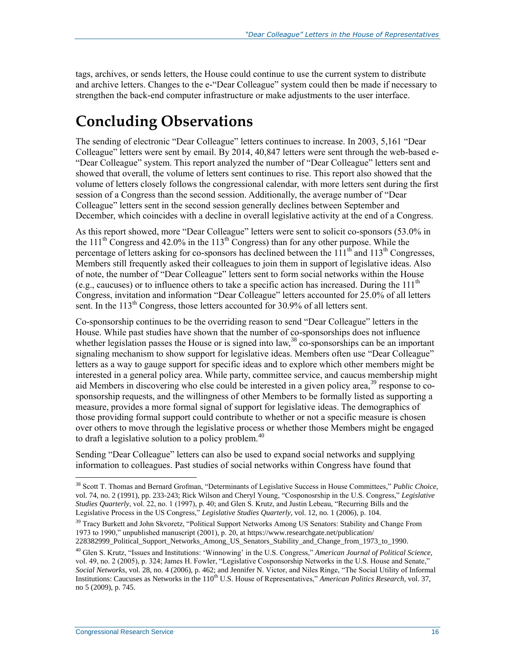tags, archives, or sends letters, the House could continue to use the current system to distribute and archive letters. Changes to the e-"Dear Colleague" system could then be made if necessary to strengthen the back-end computer infrastructure or make adjustments to the user interface.

## **Concluding Observations**

The sending of electronic "Dear Colleague" letters continues to increase. In 2003, 5,161 "Dear Colleague" letters were sent by email. By 2014, 40,847 letters were sent through the web-based e- "Dear Colleague" system. This report analyzed the number of "Dear Colleague" letters sent and showed that overall, the volume of letters sent continues to rise. This report also showed that the volume of letters closely follows the congressional calendar, with more letters sent during the first session of a Congress than the second session. Additionally, the average number of "Dear Colleague" letters sent in the second session generally declines between September and December, which coincides with a decline in overall legislative activity at the end of a Congress.

As this report showed, more "Dear Colleague" letters were sent to solicit co-sponsors (53.0% in the 111<sup>th</sup> Congress and 42.0% in the 113<sup>th</sup> Congress) than for any other purpose. While the percentage of letters asking for co-sponsors has declined between the  $111<sup>th</sup>$  and  $113<sup>th</sup>$  Congresses, Members still frequently asked their colleagues to join them in support of legislative ideas. Also of note, the number of "Dear Colleague" letters sent to form social networks within the House (e.g., caucuses) or to influence others to take a specific action has increased. During the  $111<sup>th</sup>$ Congress, invitation and information "Dear Colleague" letters accounted for 25.0% of all letters sent. In the 113<sup>th</sup> Congress, those letters accounted for 30.9% of all letters sent.

Co-sponsorship continues to be the overriding reason to send "Dear Colleague" letters in the House. While past studies have shown that the number of co-sponsorships does not influence whether legislation passes the House or is signed into law,<sup>38</sup> co-sponsorships can be an important signaling mechanism to show support for legislative ideas. Members often use "Dear Colleague" letters as a way to gauge support for specific ideas and to explore which other members might be interested in a general policy area. While party, committee service, and caucus membership might aid Members in discovering who else could be interested in a given policy area,<sup>39</sup> response to cosponsorship requests, and the willingness of other Members to be formally listed as supporting a measure, provides a more formal signal of support for legislative ideas. The demographics of those providing formal support could contribute to whether or not a specific measure is chosen over others to move through the legislative process or whether those Members might be engaged to draft a legislative solution to a policy problem. $40$ 

Sending "Dear Colleague" letters can also be used to expand social networks and supplying information to colleagues. Past studies of social networks within Congress have found that

<sup>38</sup> Scott T. Thomas and Bernard Grofman, "Determinants of Legislative Success in House Committees," *Public Choice*, vol. 74, no. 2 (1991), pp. 233-243; Rick Wilson and Cheryl Young, "Cosponosrship in the U.S. Congress," *Legislative Studies Quarterly*, vol. 22, no. 1 (1997), p. 40; and Glen S. Krutz, and Justin Lebeau, "Recurring Bills and the Legislative Process in the US Congress," *Legislative Studies Quarterly*, vol. 12, no. 1 (2006), p. 104.

<sup>&</sup>lt;sup>39</sup> Tracy Burkett and John Skvoretz, "Political Support Networks Among US Senators: Stability and Change From 1973 to 1990," unpublished manuscript (2001), p. 20, at https://www.researchgate.net/publication/ 228382999\_Political\_Support\_Networks\_Among\_US\_Senators\_Stability\_and\_Change\_from\_1973\_to\_1990.

<sup>40</sup> Glen S. Krutz, "Issues and Institutions: 'Winnowing' in the U.S. Congress," *American Journal of Political Science*, vol. 49, no. 2 (2005), p. 324; James H. Fowler, "Legislative Cosponsorship Networks in the U.S. House and Senate," *Social Networks*, vol. 28, no. 4 (2006), p. 462; and Jennifer N. Victor, and Niles Ringe, "The Social Utility of Informal Institutions: Caucuses as Networks in the 110<sup>th</sup> U.S. House of Representatives," *American Politics Research*, vol. 37, no 5 (2009), p. 745.